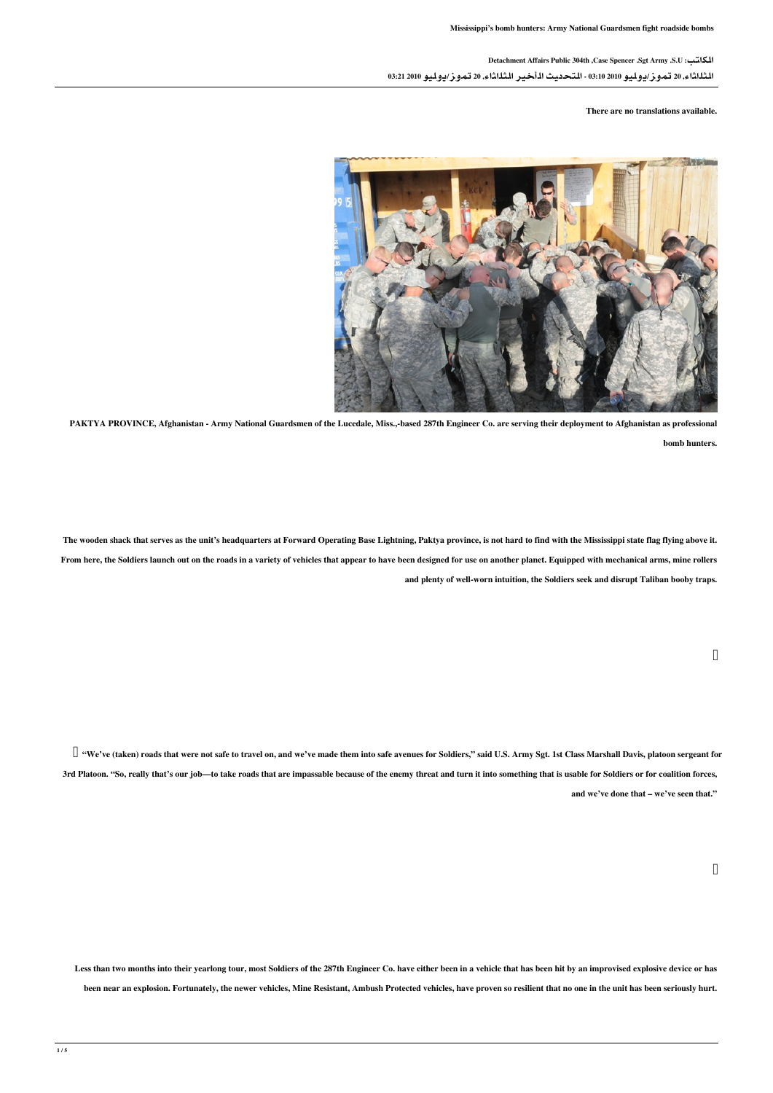## الكاتب: U.S. Army Sgt. Spencer Case, th304 Public Affairs Detachment

الثلاثاء, 20 تموز/يوليو 2010 03:10 - التحديث الأخير الثلاثاء, 20 تموز/يوليو 2010 03:21

## There are no translations available



PAKTYA PROVINCE, Afghanistan - Army National Guardsmen of the Lucedale, Miss.,-based 287th Engineer Co. are serving their deployment to Afghanistan as professional .hunters bomb

The wooden shack that serves as the unit's headquarters at Forward Operating Base Lightning, Paktya province, is not hard to find with the Mississippi state flag flying above it. From here, the Soldiers launch out on the roads in a variety of vehicles that appear to have been designed for use on another planet. Equipped with mechanical arms, mine rollers and plenty of well-worn intuition, the Soldiers seek and disrupt Taliban booby traps.

 $\Box$  "We've (taken) roads that were not safe to travel on, and we've made them into safe avenues for Soldiers," said U.S. Army Sgt. 1st Class Marshall Davis, platoon sergeant for 3rd Platoon. "So, really that's our job-to take roads that are impassable because of the enemy threat and turn it into something that is usable for Soldiers or for coalition forces, and we've done that - we've seen that."

Less than two months into their yearlong tour, most Soldiers of the 287th Engineer Co. have either been in a vehicle that has been hit by an improvised explosive device or has been near an explosion. Fortunately, the newer vehicles, Mine Resistant, Ambush Protected vehicles, have proven so resilient that no one in the unit has been seriously hurt.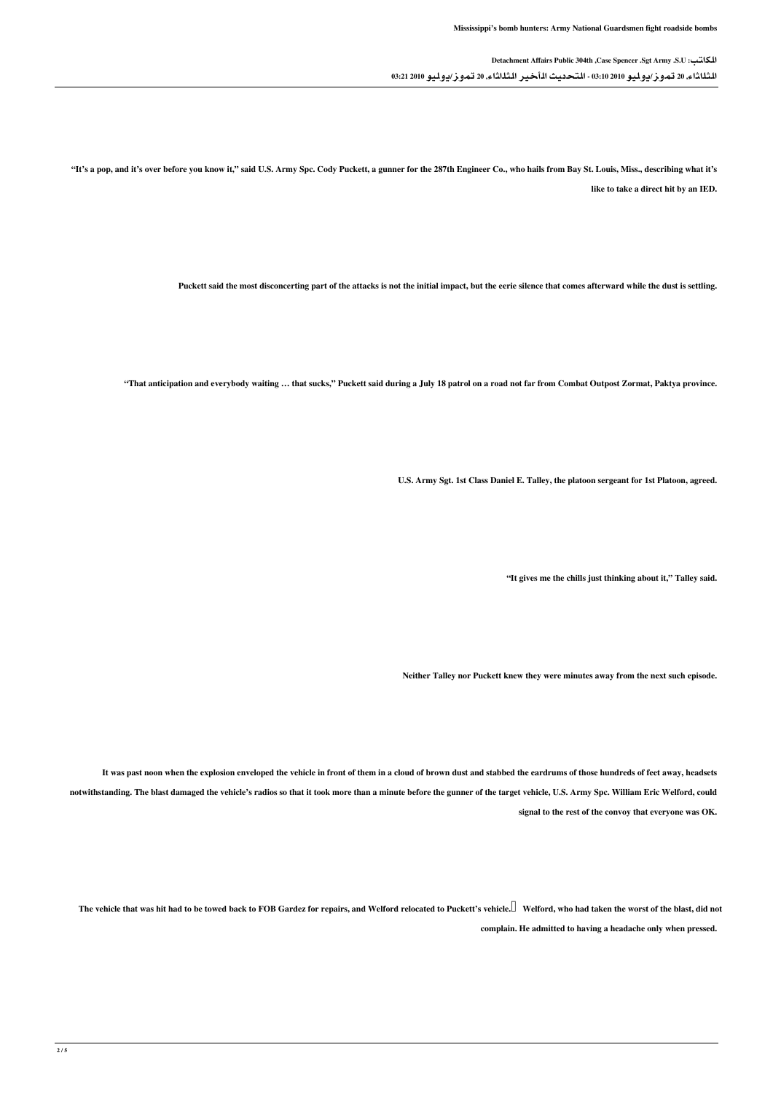الكاتب: U.S. Army Sgt. Spencer Case, th304 Public Affairs Detachment الثلاثاء, 20 تموز/يوليو 2010 03:10 - التحديث الأخير الثلاثاء, 20 تموز/يوليو 2010 03:21

"It's a pop, and it's over before you know it," said U.S. Army Spc. Cody Puckett, a gunner for the 287th Engineer Co., who hails from Bay St. Louis, Miss., describing what it's like to take a direct hit by an IED.

Puckett said the most disconcerting part of the attacks is not the initial impact, but the eerie silence that comes afterward while the dust is settling.

"That anticipation and everybody waiting ... that sucks," Puckett said during a July 18 patrol on a road not far from Combat Outpost Zormat, Paktya province.

U.S. Army Sgt. 1st Class Daniel E. Talley, the platoon sergeant for 1st Platoon, agreed.

"It gives me the chills just thinking about it," Talley said.

Neither Talley nor Puckett knew they were minutes away from the next such episode.

It was past noon when the explosion enveloped the vehicle in front of them in a cloud of brown dust and stabbed the eardrums of those hundreds of feet away, headsets notwithstanding. The blast damaged the vehicle's radios so that it took more than a minute before the gunner of the target vehicle, U.S. Army Spc. William Eric Welford, could signal to the rest of the convoy that everyone was OK.

The vehicle that was hit had to be towed back to FOB Gardez for repairs, and Welford relocated to Puckett's vehicle. Welford, who had taken the worst of the blast, did not complain. He admitted to having a headache only when pressed.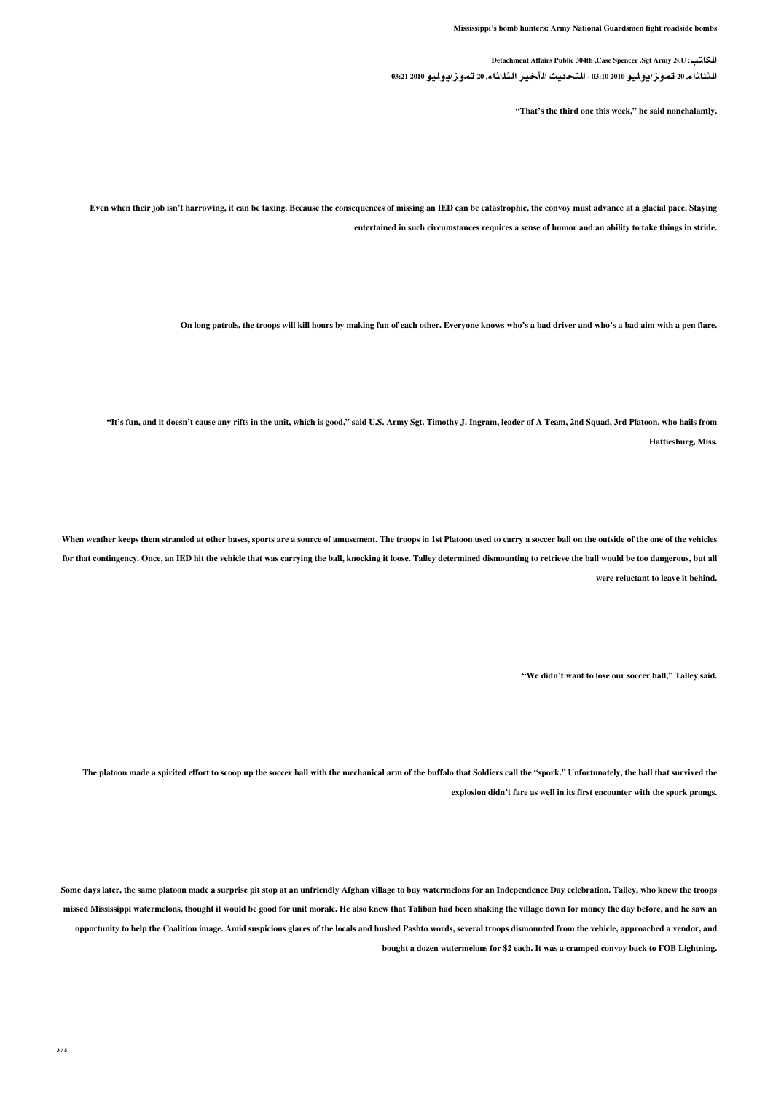الكاتب: U.S. Army Sgt. Spencer Case, th304 Public Affairs Detachment الثلاثاء, 20 تموز/يوليو 2010 03:10 - التحديث الأخير الثلاثاء, 20 تموز/يوليو 2010 03:21

" That's the third one this week," he said nonchalantly.

Even when their job isn't harrowing, it can be taxing. Because the consequences of missing an IED can be catastrophic, the convoy must advance at a glacial pace. Staying entertained in such circumstances requires a sense of humor and an ability to take things in stride.

On long patrols, the troops will kill hours by making fun of each other. Everyone knows who's a bad driver and who's a bad aim with a pen flare.

"It's fun, and it doesn't cause any rifts in the unit, which is good," said U.S. Army Sgt. Timothy J. Ingram, leader of A Team, 2nd Squad, 3rd Platoon, who hails from Hattiesburg, Miss.

When weather keeps them stranded at other bases, sports are a source of amusement. The troops in 1st Platoon used to carry a soccer ball on the outside of the one of the vehicles for that contingency. Once, an IED hit the vehicle that was carrying the ball, knocking it loose. Talley determined dismounting to retrieve the ball would be too dangerous, but all were reluctant to leave it hehind

"We didn't want to lose our soccer ball." Talley said.

The platoon made a spirited effort to scoop up the soccer ball with the mechanical arm of the buffalo that Soldiers call the "spork." Unfortunately, the ball that survived the explosion didn't fare as well in its first encounter with the spork prongs.

Some days later, the same platoon made a surprise pit stop at an unfriendly Afghan village to buy watermelons for an Independence Day celebration. Talley, who knew the troops missed Mississippi watermelons, thought it would be good for unit morale. He also knew that Taliban had been shaking the village down for money the day before, and he saw an opportunity to help the Coalition image. Amid suspicious glares of the locals and hushed Pashto words, several troops dismounted from the vehicle, approached a vendor, and bought a dozen watermelons for \$2 each. It was a cramped convoy back to FOB Lightning.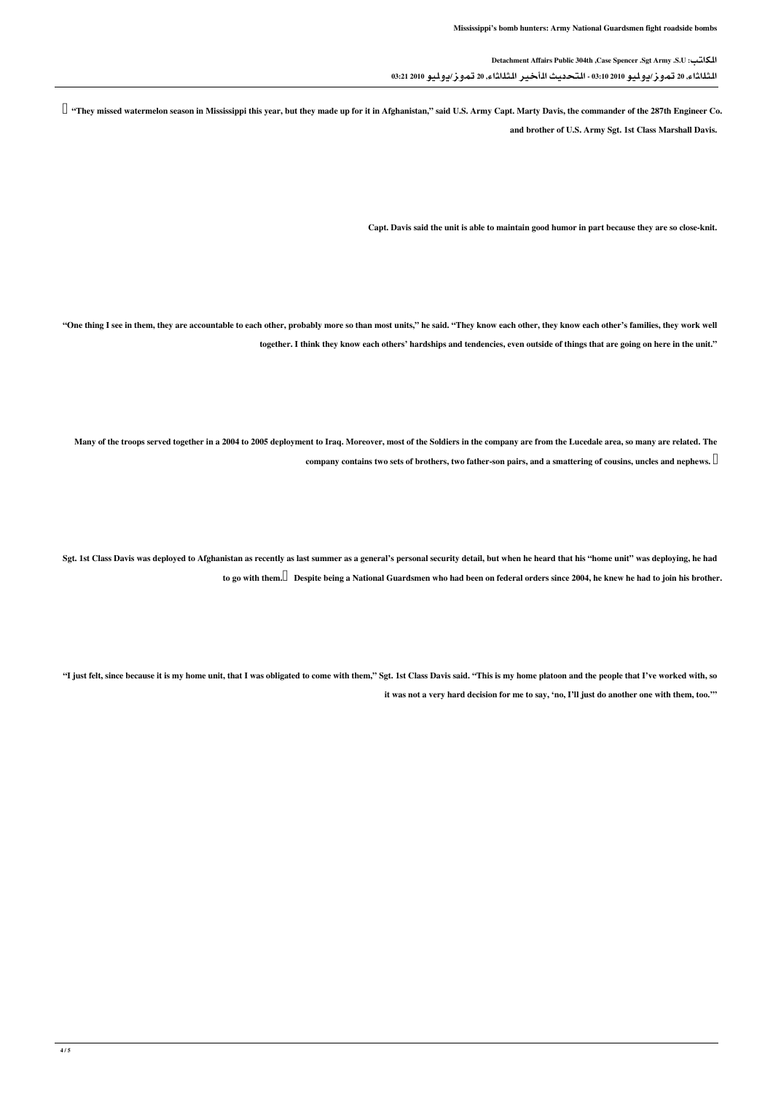الكاتب: U.S. Army Sgt. Spencer Case, th304 Public Affairs Detachment الثلاثاء, 20 تموز/يوليو 2010 03:10 - التحديث الأخير الثلاثاء, 20 تموز/يوليو 2010 03:21

 $\Box$  "They missed watermelon season in Mississippi this year, but they made up for it in Afghanistan," said U.S. Army Capt. Marty Davis, the commander of the 287th Engineer Co.

and brother of U.S. Army Sgt. 1st Class Marshall Davis.

Capt. Davis said the unit is able to maintain good humor in part because they are so close-knit.

"One thing I see in them, they are accountable to each other, probably more so than most units," he said. "They know each other, they know each other's families, they work well together. I think they know each others' hardships and tendencies, even outside of things that are going on here in the unit."

Many of the troops served together in a 2004 to 2005 deployment to Iraq. Moreover, most of the Soldiers in the company are from the Lucedale area, so many are related. The .company contains two sets of brothers, two father-son-pairs, and a smattering of cousins, uncles and nephews.  $\Box$ 

Sgt. 1st Class Davis was deployed to Afghanistan as recently as last summer as a general's personal security detail, but when he heard that his "home unit" was deploying, he had to go with them. $\Box$  Despite being a National Guardsmen who had been on federal orders since 2004, he knew he had to join his brother.

"I just felt, since because it is my home unit, that I was obligated to come with them," Sgt. 1st Class Davis said. "This is my home platoon and the people that I've worked with, so it was not a very hard decision for me to say, 'no, I'll just do another one with them, too.""